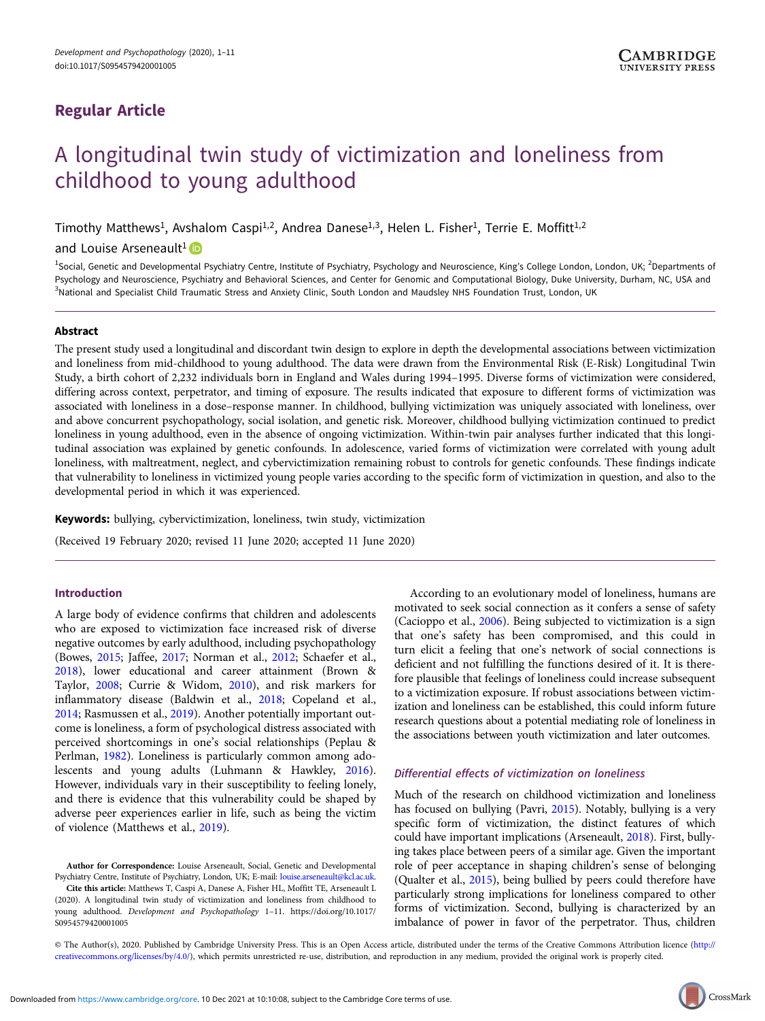## Regular Article

# A longitudinal twin study of victimization and loneliness from childhood to young adulthood

Timothy Matthews<sup>1</sup>, Avshalom Caspi<sup>1,2</sup>, Andrea Danese<sup>1,3</sup>, Helen L. Fisher<sup>1</sup>, Terrie E. Moffitt<sup>1,2</sup>

and Louise Arseneault<sup>1</sup>

<sup>1</sup>Social, Genetic and Developmental Psychiatry Centre, Institute of Psychiatry, Psychology and Neuroscience, King's College London, London, UK; <sup>2</sup>Departments of Psychology and Neuroscience, Psychiatry and Behavioral Sciences, and Center for Genomic and Computational Biology, Duke University, Durham, NC, USA and <sup>3</sup>National and Specialist Child Traumatic Stress and Anxiety Clinic, South London and Maudsley NHS Foundation Trust, London, UK

## Abstract

The present study used a longitudinal and discordant twin design to explore in depth the developmental associations between victimization and loneliness from mid-childhood to young adulthood. The data were drawn from the Environmental Risk (E-Risk) Longitudinal Twin Study, a birth cohort of 2,232 individuals born in England and Wales during 1994–1995. Diverse forms of victimization were considered, differing across context, perpetrator, and timing of exposure. The results indicated that exposure to different forms of victimization was associated with loneliness in a dose–response manner. In childhood, bullying victimization was uniquely associated with loneliness, over and above concurrent psychopathology, social isolation, and genetic risk. Moreover, childhood bullying victimization continued to predict loneliness in young adulthood, even in the absence of ongoing victimization. Within-twin pair analyses further indicated that this longitudinal association was explained by genetic confounds. In adolescence, varied forms of victimization were correlated with young adult loneliness, with maltreatment, neglect, and cybervictimization remaining robust to controls for genetic confounds. These findings indicate that vulnerability to loneliness in victimized young people varies according to the specific form of victimization in question, and also to the developmental period in which it was experienced.

Keywords: bullying, cybervictimization, loneliness, twin study, victimization

(Received 19 February 2020; revised 11 June 2020; accepted 11 June 2020)

## Introduction

[S0954579420001005](https://doi.org/10.1017/S0954579420001005)

A large body of evidence confirms that children and adolescents who are exposed to victimization face increased risk of diverse negative outcomes by early adulthood, including psychopathology (Bowes, [2015;](#page-9-0) Jaffee, [2017](#page-9-0); Norman et al., [2012](#page-9-0); Schaefer et al., [2018\)](#page-10-0), lower educational and career attainment (Brown & Taylor, [2008;](#page-9-0) Currie & Widom, [2010\)](#page-9-0), and risk markers for inflammatory disease (Baldwin et al., [2018](#page-9-0); Copeland et al., [2014;](#page-9-0) Rasmussen et al., [2019](#page-10-0)). Another potentially important outcome is loneliness, a form of psychological distress associated with perceived shortcomings in one's social relationships (Peplau & Perlman, [1982](#page-9-0)). Loneliness is particularly common among adolescents and young adults (Luhmann & Hawkley, [2016\)](#page-9-0). However, individuals vary in their susceptibility to feeling lonely, and there is evidence that this vulnerability could be shaped by adverse peer experiences earlier in life, such as being the victim of violence (Matthews et al., [2019\)](#page-9-0).

Author for Correspondence: Louise Arseneault, Social, Genetic and Developmental Psychiatry Centre, Institute of Psychiatry, London, UK; E-mail: [louise.arseneault@kcl.ac.uk](mailto:louise.arseneault@kcl.ac.uk). Cite this article: Matthews T, Caspi A, Danese A, Fisher HL, Moffitt TE, Arseneault L (2020). A longitudinal twin study of victimization and loneliness from childhood to young adulthood. Development and Psychopathology 1–11. [https://doi.org/10.1017/](https://doi.org/10.1017/S0954579420001005)

According to an evolutionary model of loneliness, humans are motivated to seek social connection as it confers a sense of safety (Cacioppo et al., [2006](#page-9-0)). Being subjected to victimization is a sign that one's safety has been compromised, and this could in turn elicit a feeling that one's network of social connections is deficient and not fulfilling the functions desired of it. It is therefore plausible that feelings of loneliness could increase subsequent to a victimization exposure. If robust associations between victimization and loneliness can be established, this could inform future research questions about a potential mediating role of loneliness in the associations between youth victimization and later outcomes.

## Differential effects of victimization on loneliness

Much of the research on childhood victimization and loneliness has focused on bullying (Pavri, [2015](#page-9-0)). Notably, bullying is a very specific form of victimization, the distinct features of which could have important implications (Arseneault, [2018](#page-8-0)). First, bullying takes place between peers of a similar age. Given the important role of peer acceptance in shaping children's sense of belonging (Qualter et al., [2015](#page-10-0)), being bullied by peers could therefore have particularly strong implications for loneliness compared to other forms of victimization. Second, bullying is characterized by an imbalance of power in favor of the perpetrator. Thus, children

© The Author(s), 2020. Published by Cambridge University Press. This is an Open Access article, distributed under the terms of the Creative Commons Attribution licence ([http://](http://creativecommons.org/licenses/by/4.0/) [creativecommons.org/licenses/by/4.0/](http://creativecommons.org/licenses/by/4.0/)), which permits unrestricted re-use, distribution, and reproduction in any medium, provided the original work is properly cited.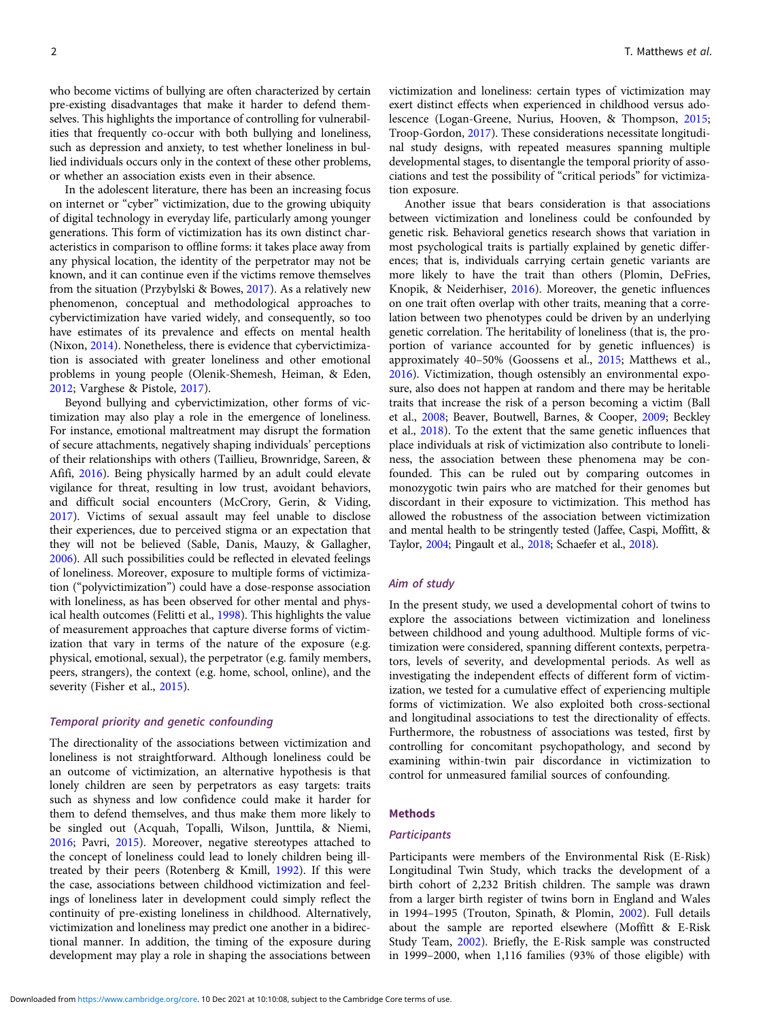who become victims of bullying are often characterized by certain pre-existing disadvantages that make it harder to defend themselves. This highlights the importance of controlling for vulnerabilities that frequently co-occur with both bullying and loneliness, such as depression and anxiety, to test whether loneliness in bullied individuals occurs only in the context of these other problems, or whether an association exists even in their absence.

In the adolescent literature, there has been an increasing focus on internet or "cyber" victimization, due to the growing ubiquity of digital technology in everyday life, particularly among younger generations. This form of victimization has its own distinct characteristics in comparison to offline forms: it takes place away from any physical location, the identity of the perpetrator may not be known, and it can continue even if the victims remove themselves from the situation (Przybylski & Bowes, [2017\)](#page-10-0). As a relatively new phenomenon, conceptual and methodological approaches to cybervictimization have varied widely, and consequently, so too have estimates of its prevalence and effects on mental health (Nixon, [2014](#page-9-0)). Nonetheless, there is evidence that cybervictimization is associated with greater loneliness and other emotional problems in young people (Olenik-Shemesh, Heiman, & Eden, [2012;](#page-9-0) Varghese & Pistole, [2017](#page-10-0)).

Beyond bullying and cybervictimization, other forms of victimization may also play a role in the emergence of loneliness. For instance, emotional maltreatment may disrupt the formation of secure attachments, negatively shaping individuals' perceptions of their relationships with others (Taillieu, Brownridge, Sareen, & Afifi, [2016\)](#page-10-0). Being physically harmed by an adult could elevate vigilance for threat, resulting in low trust, avoidant behaviors, and difficult social encounters (McCrory, Gerin, & Viding, [2017\)](#page-9-0). Victims of sexual assault may feel unable to disclose their experiences, due to perceived stigma or an expectation that they will not be believed (Sable, Danis, Mauzy, & Gallagher, [2006\)](#page-10-0). All such possibilities could be reflected in elevated feelings of loneliness. Moreover, exposure to multiple forms of victimization ("polyvictimization") could have a dose-response association with loneliness, as has been observed for other mental and physical health outcomes (Felitti et al., [1998\)](#page-9-0). This highlights the value of measurement approaches that capture diverse forms of victimization that vary in terms of the nature of the exposure (e.g. physical, emotional, sexual), the perpetrator (e.g. family members, peers, strangers), the context (e.g. home, school, online), and the severity (Fisher et al., [2015](#page-9-0)).

## Temporal priority and genetic confounding

The directionality of the associations between victimization and loneliness is not straightforward. Although loneliness could be an outcome of victimization, an alternative hypothesis is that lonely children are seen by perpetrators as easy targets: traits such as shyness and low confidence could make it harder for them to defend themselves, and thus make them more likely to be singled out (Acquah, Topalli, Wilson, Junttila, & Niemi, [2016;](#page-8-0) Pavri, [2015](#page-9-0)). Moreover, negative stereotypes attached to the concept of loneliness could lead to lonely children being illtreated by their peers (Rotenberg & Kmill, [1992](#page-10-0)). If this were the case, associations between childhood victimization and feelings of loneliness later in development could simply reflect the continuity of pre-existing loneliness in childhood. Alternatively, victimization and loneliness may predict one another in a bidirectional manner. In addition, the timing of the exposure during development may play a role in shaping the associations between

victimization and loneliness: certain types of victimization may exert distinct effects when experienced in childhood versus adolescence (Logan-Greene, Nurius, Hooven, & Thompson, [2015](#page-9-0); Troop-Gordon, [2017](#page-10-0)). These considerations necessitate longitudinal study designs, with repeated measures spanning multiple developmental stages, to disentangle the temporal priority of associations and test the possibility of "critical periods" for victimization exposure.

Another issue that bears consideration is that associations between victimization and loneliness could be confounded by genetic risk. Behavioral genetics research shows that variation in most psychological traits is partially explained by genetic differences; that is, individuals carrying certain genetic variants are more likely to have the trait than others (Plomin, DeFries, Knopik, & Neiderhiser, [2016](#page-10-0)). Moreover, the genetic influences on one trait often overlap with other traits, meaning that a correlation between two phenotypes could be driven by an underlying genetic correlation. The heritability of loneliness (that is, the proportion of variance accounted for by genetic influences) is approximately 40–50% (Goossens et al., [2015](#page-9-0); Matthews et al., [2016](#page-9-0)). Victimization, though ostensibly an environmental exposure, also does not happen at random and there may be heritable traits that increase the risk of a person becoming a victim (Ball et al., [2008;](#page-9-0) Beaver, Boutwell, Barnes, & Cooper, [2009;](#page-9-0) Beckley et al., [2018\)](#page-9-0). To the extent that the same genetic influences that place individuals at risk of victimization also contribute to loneliness, the association between these phenomena may be confounded. This can be ruled out by comparing outcomes in monozygotic twin pairs who are matched for their genomes but discordant in their exposure to victimization. This method has allowed the robustness of the association between victimization and mental health to be stringently tested (Jaffee, Caspi, Moffitt, & Taylor, [2004](#page-9-0); Pingault et al., [2018](#page-10-0); Schaefer et al., [2018](#page-10-0)).

## Aim of study

In the present study, we used a developmental cohort of twins to explore the associations between victimization and loneliness between childhood and young adulthood. Multiple forms of victimization were considered, spanning different contexts, perpetrators, levels of severity, and developmental periods. As well as investigating the independent effects of different form of victimization, we tested for a cumulative effect of experiencing multiple forms of victimization. We also exploited both cross-sectional and longitudinal associations to test the directionality of effects. Furthermore, the robustness of associations was tested, first by controlling for concomitant psychopathology, and second by examining within-twin pair discordance in victimization to control for unmeasured familial sources of confounding.

## Methods

#### **Participants**

Participants were members of the Environmental Risk (E-Risk) Longitudinal Twin Study, which tracks the development of a birth cohort of 2,232 British children. The sample was drawn from a larger birth register of twins born in England and Wales in 1994–1995 (Trouton, Spinath, & Plomin, [2002\)](#page-10-0). Full details about the sample are reported elsewhere (Moffitt & E-Risk Study Team, [2002](#page-9-0)). Briefly, the E-Risk sample was constructed in 1999–2000, when 1,116 families (93% of those eligible) with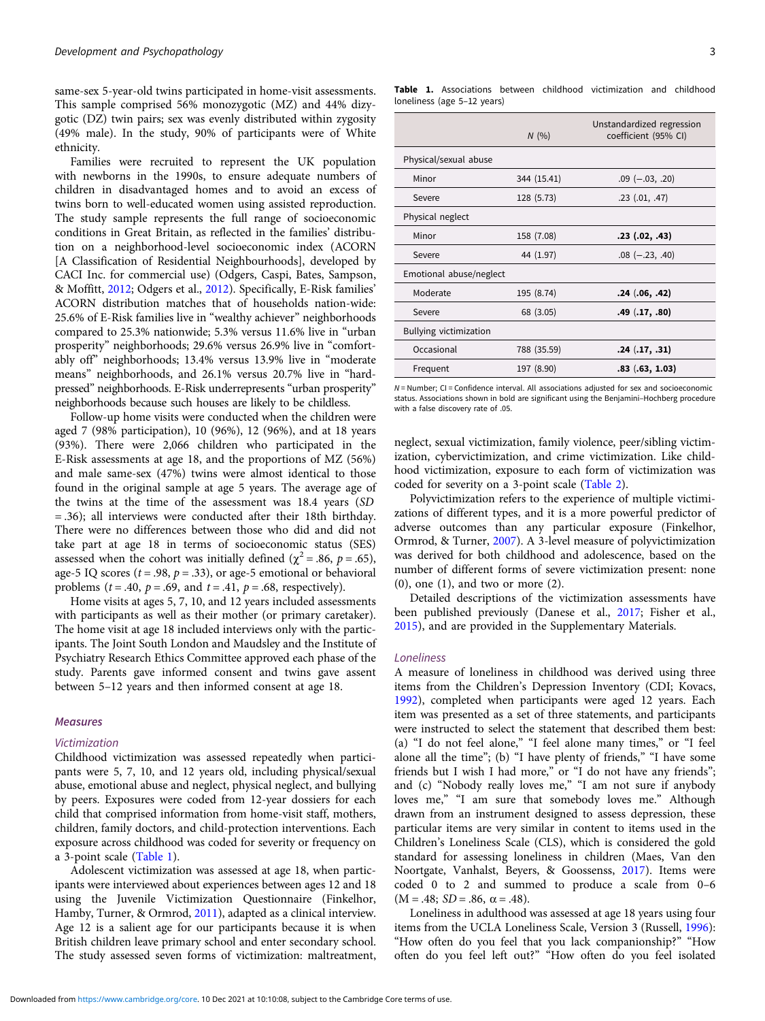<span id="page-2-0"></span>same-sex 5-year-old twins participated in home-visit assessments. This sample comprised 56% monozygotic (MZ) and 44% dizygotic (DZ) twin pairs; sex was evenly distributed within zygosity (49% male). In the study, 90% of participants were of White ethnicity.

Families were recruited to represent the UK population with newborns in the 1990s, to ensure adequate numbers of children in disadvantaged homes and to avoid an excess of twins born to well-educated women using assisted reproduction. The study sample represents the full range of socioeconomic conditions in Great Britain, as reflected in the families' distribution on a neighborhood-level socioeconomic index (ACORN [A Classification of Residential Neighbourhoods], developed by CACI Inc. for commercial use) (Odgers, Caspi, Bates, Sampson, & Moffitt, [2012;](#page-9-0) Odgers et al., [2012\)](#page-9-0). Specifically, E-Risk families' ACORN distribution matches that of households nation-wide: 25.6% of E-Risk families live in "wealthy achiever" neighborhoods compared to 25.3% nationwide; 5.3% versus 11.6% live in "urban prosperity" neighborhoods; 29.6% versus 26.9% live in "comfortably off" neighborhoods; 13.4% versus 13.9% live in "moderate means" neighborhoods, and 26.1% versus 20.7% live in "hardpressed" neighborhoods. E-Risk underrepresents "urban prosperity" neighborhoods because such houses are likely to be childless.

Follow-up home visits were conducted when the children were aged 7 (98% participation), 10 (96%), 12 (96%), and at 18 years (93%). There were 2,066 children who participated in the E-Risk assessments at age 18, and the proportions of MZ (56%) and male same-sex (47%) twins were almost identical to those found in the original sample at age 5 years. The average age of the twins at the time of the assessment was 18.4 years (SD = .36); all interviews were conducted after their 18th birthday. There were no differences between those who did and did not take part at age 18 in terms of socioeconomic status (SES) assessed when the cohort was initially defined ( $\chi^2$  = .86, p = .65), age-5 IQ scores ( $t = .98$ ,  $p = .33$ ), or age-5 emotional or behavioral problems ( $t = .40$ ,  $p = .69$ , and  $t = .41$ ,  $p = .68$ , respectively).

Home visits at ages 5, 7, 10, and 12 years included assessments with participants as well as their mother (or primary caretaker). The home visit at age 18 included interviews only with the participants. The Joint South London and Maudsley and the Institute of Psychiatry Research Ethics Committee approved each phase of the study. Parents gave informed consent and twins gave assent between 5–12 years and then informed consent at age 18.

## **Measures**

## Victimization

Childhood victimization was assessed repeatedly when participants were 5, 7, 10, and 12 years old, including physical/sexual abuse, emotional abuse and neglect, physical neglect, and bullying by peers. Exposures were coded from 12-year dossiers for each child that comprised information from home-visit staff, mothers, children, family doctors, and child-protection interventions. Each exposure across childhood was coded for severity or frequency on a 3-point scale (Table 1).

Adolescent victimization was assessed at age 18, when participants were interviewed about experiences between ages 12 and 18 using the Juvenile Victimization Questionnaire (Finkelhor, Hamby, Turner, & Ormrod, [2011](#page-9-0)), adapted as a clinical interview. Age 12 is a salient age for our participants because it is when British children leave primary school and enter secondary school. The study assessed seven forms of victimization: maltreatment,

Table 1. Associations between childhood victimization and childhood loneliness (age 5–12 years)

|                               | N(96)       | Unstandardized regression<br>coefficient (95% CI) |
|-------------------------------|-------------|---------------------------------------------------|
| Physical/sexual abuse         |             |                                                   |
| Minor                         | 344 (15.41) | $.09$ ( $-.03, .20$ )                             |
| Severe                        | 128 (5.73)  | $.23$ $(.01, .47)$                                |
| Physical neglect              |             |                                                   |
| Minor                         | 158 (7.08)  | $.23$ $(.02, .43)$                                |
| Severe                        | 44 (1.97)   | $.08$ ( $-.23, .40$ )                             |
| Emotional abuse/neglect       |             |                                                   |
| Moderate                      | 195 (8.74)  | .24(.06,.42)                                      |
| Severe                        | 68 (3.05)   | .49 (.17, .80)                                    |
| <b>Bullying victimization</b> |             |                                                   |
| Occasional                    | 788 (35.59) | .24(.17,.31)                                      |
| Frequent                      | 197 (8.90)  | .83( .63, 1.03)                                   |

N = Number; CI = Confidence interval. All associations adjusted for sex and socioeconomic status. Associations shown in bold are significant using the Benjamini–Hochberg procedure with a false discovery rate of .05.

neglect, sexual victimization, family violence, peer/sibling victimization, cybervictimization, and crime victimization. Like childhood victimization, exposure to each form of victimization was coded for severity on a 3-point scale ([Table 2\)](#page-3-0).

Polyvictimization refers to the experience of multiple victimizations of different types, and it is a more powerful predictor of adverse outcomes than any particular exposure (Finkelhor, Ormrod, & Turner, [2007\)](#page-9-0). A 3-level measure of polyvictimization was derived for both childhood and adolescence, based on the number of different forms of severe victimization present: none (0), one (1), and two or more (2).

Detailed descriptions of the victimization assessments have been published previously (Danese et al., [2017](#page-9-0); Fisher et al., [2015](#page-9-0)), and are provided in the Supplementary Materials.

#### Loneliness

A measure of loneliness in childhood was derived using three items from the Children's Depression Inventory (CDI; Kovacs, [1992](#page-9-0)), completed when participants were aged 12 years. Each item was presented as a set of three statements, and participants were instructed to select the statement that described them best: (a) "I do not feel alone," "I feel alone many times," or "I feel alone all the time"; (b) "I have plenty of friends," "I have some friends but I wish I had more," or "I do not have any friends"; and (c) "Nobody really loves me," "I am not sure if anybody loves me," "I am sure that somebody loves me." Although drawn from an instrument designed to assess depression, these particular items are very similar in content to items used in the Children's Loneliness Scale (CLS), which is considered the gold standard for assessing loneliness in children (Maes, Van den Noortgate, Vanhalst, Beyers, & Goossenss, [2017\)](#page-9-0). Items were coded 0 to 2 and summed to produce a scale from 0–6  $(M = .48; SD = .86, \alpha = .48).$ 

Loneliness in adulthood was assessed at age 18 years using four items from the UCLA Loneliness Scale, Version 3 (Russell, [1996](#page-10-0)): "How often do you feel that you lack companionship?" "How often do you feel left out?" "How often do you feel isolated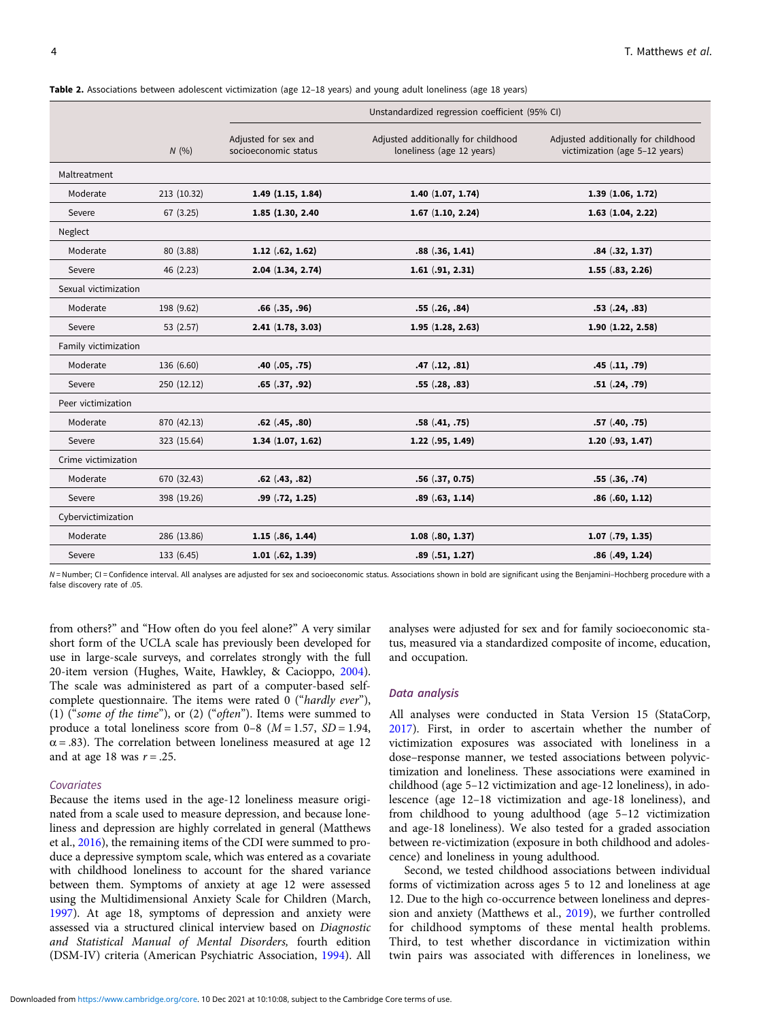|                      |             | Unstandardized regression coefficient (95% CI) |                                                                  |                                                                       |  |
|----------------------|-------------|------------------------------------------------|------------------------------------------------------------------|-----------------------------------------------------------------------|--|
|                      | N(%)        | Adjusted for sex and<br>socioeconomic status   | Adjusted additionally for childhood<br>loneliness (age 12 years) | Adjusted additionally for childhood<br>victimization (age 5-12 years) |  |
| Maltreatment         |             |                                                |                                                                  |                                                                       |  |
| Moderate             | 213 (10.32) | $1.49$ $(1.15, 1.84)$                          | $1.40$ $(1.07, 1.74)$                                            | 1.39(1.06, 1.72)                                                      |  |
| Severe               | 67 (3.25)   | 1.85 (1.30, 2.40)                              | $1.67$ $(1.10, 2.24)$                                            | $1.63$ $(1.04, 2.22)$                                                 |  |
| Neglect              |             |                                                |                                                                  |                                                                       |  |
| Moderate             | 80 (3.88)   | $1.12$ $(.62, 1.62)$                           | .88(.36, 1.41)                                                   | .84(.32, 1.37)                                                        |  |
| Severe               | 46 (2.23)   | 2.04(1.34, 2.74)                               | $1.61$ $(.91, 2.31)$                                             | $1.55$ $(.83, 2.26)$                                                  |  |
| Sexual victimization |             |                                                |                                                                  |                                                                       |  |
| Moderate             | 198 (9.62)  | $.66$ $(.35, .96)$                             | .55(.26, .84)                                                    | $.53$ $(.24, .83)$                                                    |  |
| Severe               | 53 (2.57)   | 2.41(1.78, 3.03)                               | 1.95(1.28, 2.63)                                                 | 1.90(1.22, 2.58)                                                      |  |
| Family victimization |             |                                                |                                                                  |                                                                       |  |
| Moderate             | 136 (6.60)  | $.40$ $(.05, .75)$                             | .47(.12,.81)                                                     | .45(.11,.79)                                                          |  |
| Severe               | 250 (12.12) | $.65$ $(.37, .92)$                             | .55(.28, .83)                                                    | .51(.24,.79)                                                          |  |
| Peer victimization   |             |                                                |                                                                  |                                                                       |  |
| Moderate             | 870 (42.13) | $.62$ $(.45, .80)$                             | .58(.41, .75)                                                    | .57(.40,.75)                                                          |  |
| Severe               | 323 (15.64) | 1.34(1.07, 1.62)                               | $1.22$ $(.95, 1.49)$                                             | $1.20$ $(.93, 1.47)$                                                  |  |
| Crime victimization  |             |                                                |                                                                  |                                                                       |  |
| Moderate             | 670 (32.43) | $.62$ $(.43, .82)$                             | .56(.37, 0.75)                                                   | .55(.36, .74)                                                         |  |
| Severe               | 398 (19.26) | $.99$ $(.72, 1.25)$                            | .89(.63, 1.14)                                                   | .86(.60, 1.12)                                                        |  |
| Cybervictimization   |             |                                                |                                                                  |                                                                       |  |
| Moderate             | 286 (13.86) | $1.15$ $(.86, 1.44)$                           | $1.08$ $(.80, 1.37)$                                             | $1.07$ $(.79, 1.35)$                                                  |  |
| Severe               | 133 (6.45)  | $1.01$ $(.62, 1.39)$                           | .89(.51, 1.27)                                                   | .86(.49, 1.24)                                                        |  |

<span id="page-3-0"></span>Table 2. Associations between adolescent victimization (age 12-18 years) and young adult loneliness (age 18 years)

N = Number; CI = Confidence interval. All analyses are adjusted for sex and socioeconomic status. Associations shown in bold are significant using the Benjamini-Hochberg procedure with a false discovery rate of .05.

from others?" and "How often do you feel alone?" A very similar short form of the UCLA scale has previously been developed for use in large-scale surveys, and correlates strongly with the full 20-item version (Hughes, Waite, Hawkley, & Cacioppo, [2004\)](#page-9-0). The scale was administered as part of a computer-based selfcomplete questionnaire. The items were rated 0 ("hardly ever"), (1) ("some of the time"), or (2) ("often"). Items were summed to produce a total loneliness score from  $0-8$  ( $M = 1.57$ ,  $SD = 1.94$ ,  $\alpha$  = .83). The correlation between loneliness measured at age 12 and at age 18 was  $r = .25$ .

#### Covariates

Because the items used in the age-12 loneliness measure originated from a scale used to measure depression, and because loneliness and depression are highly correlated in general (Matthews et al., [2016\)](#page-9-0), the remaining items of the CDI were summed to produce a depressive symptom scale, which was entered as a covariate with childhood loneliness to account for the shared variance between them. Symptoms of anxiety at age 12 were assessed using the Multidimensional Anxiety Scale for Children (March, [1997\)](#page-9-0). At age 18, symptoms of depression and anxiety were assessed via a structured clinical interview based on Diagnostic and Statistical Manual of Mental Disorders, fourth edition (DSM-IV) criteria (American Psychiatric Association, [1994\)](#page-8-0). All

analyses were adjusted for sex and for family socioeconomic status, measured via a standardized composite of income, education, and occupation.

#### Data analysis

All analyses were conducted in Stata Version 15 (StataCorp, [2017](#page-10-0)). First, in order to ascertain whether the number of victimization exposures was associated with loneliness in a dose–response manner, we tested associations between polyvictimization and loneliness. These associations were examined in childhood (age 5–12 victimization and age-12 loneliness), in adolescence (age 12–18 victimization and age-18 loneliness), and from childhood to young adulthood (age 5–12 victimization and age-18 loneliness). We also tested for a graded association between re-victimization (exposure in both childhood and adolescence) and loneliness in young adulthood.

Second, we tested childhood associations between individual forms of victimization across ages 5 to 12 and loneliness at age 12. Due to the high co-occurrence between loneliness and depression and anxiety (Matthews et al., [2019\)](#page-9-0), we further controlled for childhood symptoms of these mental health problems. Third, to test whether discordance in victimization within twin pairs was associated with differences in loneliness, we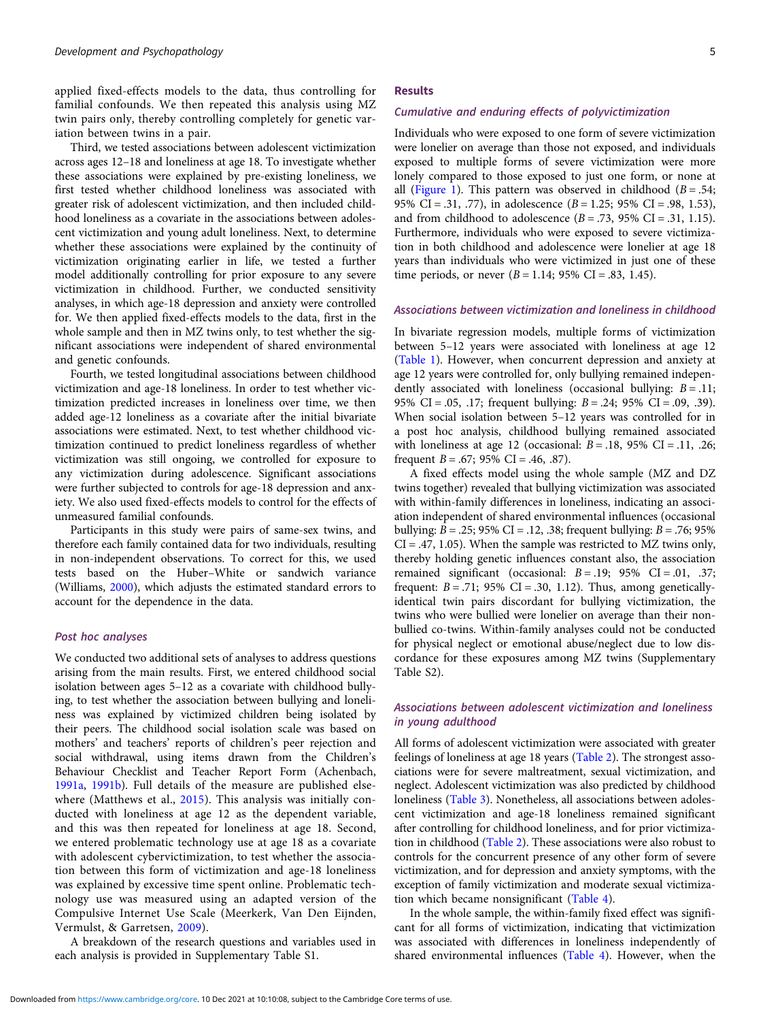applied fixed-effects models to the data, thus controlling for familial confounds. We then repeated this analysis using MZ twin pairs only, thereby controlling completely for genetic variation between twins in a pair.

Third, we tested associations between adolescent victimization across ages 12–18 and loneliness at age 18. To investigate whether these associations were explained by pre-existing loneliness, we first tested whether childhood loneliness was associated with greater risk of adolescent victimization, and then included childhood loneliness as a covariate in the associations between adolescent victimization and young adult loneliness. Next, to determine whether these associations were explained by the continuity of victimization originating earlier in life, we tested a further model additionally controlling for prior exposure to any severe victimization in childhood. Further, we conducted sensitivity analyses, in which age-18 depression and anxiety were controlled for. We then applied fixed-effects models to the data, first in the whole sample and then in MZ twins only, to test whether the significant associations were independent of shared environmental and genetic confounds.

Fourth, we tested longitudinal associations between childhood victimization and age-18 loneliness. In order to test whether victimization predicted increases in loneliness over time, we then added age-12 loneliness as a covariate after the initial bivariate associations were estimated. Next, to test whether childhood victimization continued to predict loneliness regardless of whether victimization was still ongoing, we controlled for exposure to any victimization during adolescence. Significant associations were further subjected to controls for age-18 depression and anxiety. We also used fixed-effects models to control for the effects of unmeasured familial confounds.

Participants in this study were pairs of same-sex twins, and therefore each family contained data for two individuals, resulting in non-independent observations. To correct for this, we used tests based on the Huber–White or sandwich variance (Williams, [2000\)](#page-10-0), which adjusts the estimated standard errors to account for the dependence in the data.

## Post hoc analyses

We conducted two additional sets of analyses to address questions arising from the main results. First, we entered childhood social isolation between ages 5–12 as a covariate with childhood bullying, to test whether the association between bullying and loneliness was explained by victimized children being isolated by their peers. The childhood social isolation scale was based on mothers' and teachers' reports of children's peer rejection and social withdrawal, using items drawn from the Children's Behaviour Checklist and Teacher Report Form (Achenbach, [1991a,](#page-8-0) [1991b\)](#page-8-0). Full details of the measure are published else-where (Matthews et al., [2015\)](#page-9-0). This analysis was initially conducted with loneliness at age 12 as the dependent variable, and this was then repeated for loneliness at age 18. Second, we entered problematic technology use at age 18 as a covariate with adolescent cybervictimization, to test whether the association between this form of victimization and age-18 loneliness was explained by excessive time spent online. Problematic technology use was measured using an adapted version of the Compulsive Internet Use Scale (Meerkerk, Van Den Eijnden, Vermulst, & Garretsen, [2009](#page-9-0)).

A breakdown of the research questions and variables used in each analysis is provided in Supplementary Table S1.

#### Results

## Cumulative and enduring effects of polyvictimization

Individuals who were exposed to one form of severe victimization were lonelier on average than those not exposed, and individuals exposed to multiple forms of severe victimization were more lonely compared to those exposed to just one form, or none at all [\(Figure 1\)](#page-5-0). This pattern was observed in childhood ( $B = .54$ ; 95% CI = .31, .77), in adolescence (B = 1.25; 95% CI = .98, 1.53), and from childhood to adolescence  $(B=.73, 95\% \text{ CI}=.31, 1.15)$ . Furthermore, individuals who were exposed to severe victimization in both childhood and adolescence were lonelier at age 18 years than individuals who were victimized in just one of these time periods, or never  $(B = 1.14; 95\% \text{ CI} = .83, 1.45)$ .

#### Associations between victimization and loneliness in childhood

In bivariate regression models, multiple forms of victimization between 5–12 years were associated with loneliness at age 12 [\(Table 1](#page-2-0)). However, when concurrent depression and anxiety at age 12 years were controlled for, only bullying remained independently associated with loneliness (occasional bullying:  $B = .11$ ; 95% CI = .05, .17; frequent bullying: B = .24; 95% CI = .09, .39). When social isolation between 5–12 years was controlled for in a post hoc analysis, childhood bullying remained associated with loneliness at age 12 (occasional:  $B = .18$ , 95% CI = .11, .26; frequent  $B = .67$ ; 95% CI = .46, .87).

A fixed effects model using the whole sample (MZ and DZ twins together) revealed that bullying victimization was associated with within-family differences in loneliness, indicating an association independent of shared environmental influences (occasional bullying:  $B = .25$ ; 95% CI = .12, .38; frequent bullying:  $B = .76$ ; 95%  $CI = .47, 1.05$ ). When the sample was restricted to MZ twins only, thereby holding genetic influences constant also, the association remained significant (occasional:  $B = .19$ ; 95% CI = .01, .37; frequent:  $B = .71$ ; 95% CI = .30, 1.12). Thus, among geneticallyidentical twin pairs discordant for bullying victimization, the twins who were bullied were lonelier on average than their nonbullied co-twins. Within-family analyses could not be conducted for physical neglect or emotional abuse/neglect due to low discordance for these exposures among MZ twins (Supplementary Table S2).

## Associations between adolescent victimization and loneliness in young adulthood

All forms of adolescent victimization were associated with greater feelings of loneliness at age 18 years [\(Table 2](#page-3-0)). The strongest associations were for severe maltreatment, sexual victimization, and neglect. Adolescent victimization was also predicted by childhood loneliness [\(Table 3](#page-5-0)). Nonetheless, all associations between adolescent victimization and age-18 loneliness remained significant after controlling for childhood loneliness, and for prior victimization in childhood ([Table 2](#page-3-0)). These associations were also robust to controls for the concurrent presence of any other form of severe victimization, and for depression and anxiety symptoms, with the exception of family victimization and moderate sexual victimization which became nonsignificant ([Table 4](#page-6-0)).

In the whole sample, the within-family fixed effect was significant for all forms of victimization, indicating that victimization was associated with differences in loneliness independently of shared environmental influences [\(Table 4\)](#page-6-0). However, when the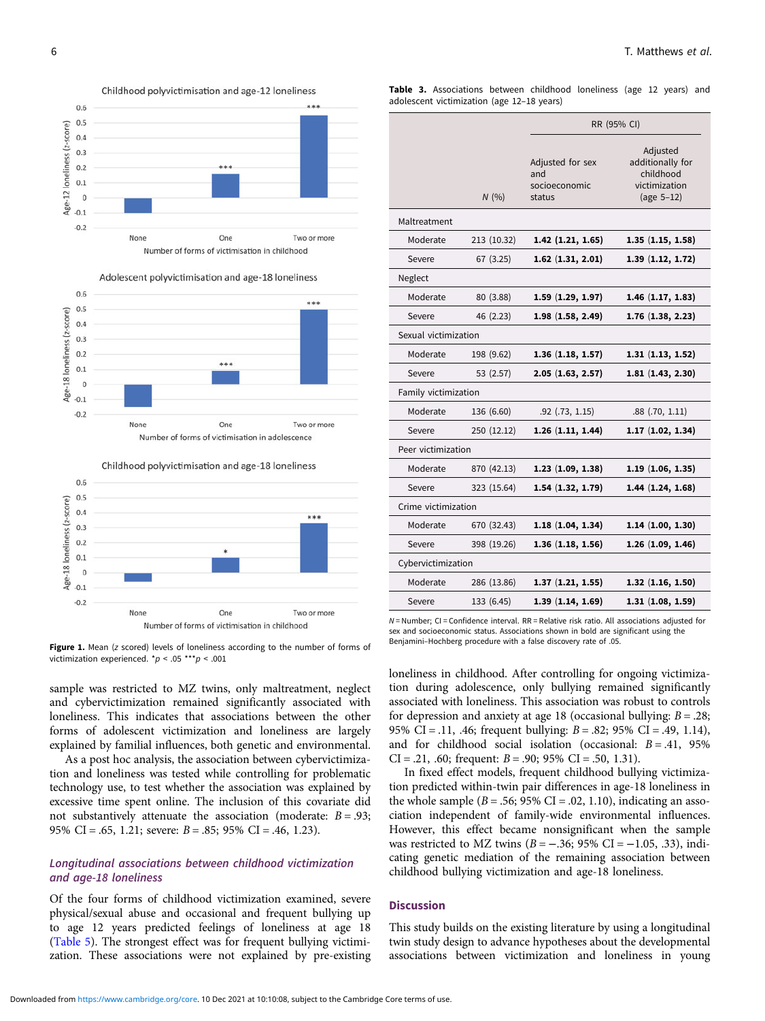<span id="page-5-0"></span>



Childhood polyvictimisation and age-18 loneliness



Figure 1. Mean (z scored) levels of loneliness according to the number of forms of victimization experienced.  $^{\star}p < .05$  \*\*\* $p < .001$ 

sample was restricted to MZ twins, only maltreatment, neglect and cybervictimization remained significantly associated with loneliness. This indicates that associations between the other forms of adolescent victimization and loneliness are largely explained by familial influences, both genetic and environmental.

As a post hoc analysis, the association between cybervictimization and loneliness was tested while controlling for problematic technology use, to test whether the association was explained by excessive time spent online. The inclusion of this covariate did not substantively attenuate the association (moderate:  $B = .93$ ; 95% CI = .65, 1.21; severe: B = .85; 95% CI = .46, 1.23).

## Longitudinal associations between childhood victimization and age-18 loneliness

Of the four forms of childhood victimization examined, severe physical/sexual abuse and occasional and frequent bullying up to age 12 years predicted feelings of loneliness at age 18 ([Table 5](#page-6-0)). The strongest effect was for frequent bullying victimization. These associations were not explained by pre-existing

|  | <b>Table 3.</b> Associations between childhood loneliness (age 12 years) and |  |  |  |  |
|--|------------------------------------------------------------------------------|--|--|--|--|
|  | adolescent victimization (age 12-18 years)                                   |  |  |  |  |

|                      |             | RR (95% CI)                                        |                                                                             |  |  |
|----------------------|-------------|----------------------------------------------------|-----------------------------------------------------------------------------|--|--|
|                      | N(%)        | Adjusted for sex<br>and<br>socioeconomic<br>status | Adjusted<br>additionally for<br>childhood<br>victimization<br>(age $5-12$ ) |  |  |
| Maltreatment         |             |                                                    |                                                                             |  |  |
| Moderate             | 213 (10.32) | $1.42$ $(1.21, 1.65)$                              | 1.35(1.15, 1.58)                                                            |  |  |
| Severe               | 67(3.25)    | $1.62$ $(1.31, 2.01)$                              | 1.39(1.12, 1.72)                                                            |  |  |
| Neglect              |             |                                                    |                                                                             |  |  |
| Moderate             | 80 (3.88)   | 1.59(1.29, 1.97)                                   | $1.46$ $(1.17, 1.83)$                                                       |  |  |
| Severe               | 46 (2.23)   | 1.98(1.58, 2.49)                                   | $1.76$ $(1.38, 2.23)$                                                       |  |  |
| Sexual victimization |             |                                                    |                                                                             |  |  |
| Moderate             | 198 (9.62)  | 1.36(1.18, 1.57)                                   | 1.31(1.13, 1.52)                                                            |  |  |
| Severe               | 53 (2.57)   | 2.05(1.63, 2.57)                                   | 1.81(1.43, 2.30)                                                            |  |  |
| Family victimization |             |                                                    |                                                                             |  |  |
| Moderate             | 136 (6.60)  | $.92$ $(.73, 1.15)$                                | $.88$ $(.70, 1.11)$                                                         |  |  |
| Severe               | 250 (12.12) | 1.26(1.11, 1.44)                                   | 1.17(1.02, 1.34)                                                            |  |  |
| Peer victimization   |             |                                                    |                                                                             |  |  |
| Moderate             | 870 (42.13) | 1.23(1.09, 1.38)                                   | 1.19(1.06, 1.35)                                                            |  |  |
| Severe               | 323 (15.64) | 1.54(1.32, 1.79)                                   | 1.44(1.24, 1.68)                                                            |  |  |
| Crime victimization  |             |                                                    |                                                                             |  |  |
| Moderate             | 670 (32.43) | 1.18(1.04, 1.34)                                   | $1.14$ $(1.00, 1.30)$                                                       |  |  |
| Severe               | 398 (19.26) | 1.36(1.18, 1.56)                                   | 1.26(1.09, 1.46)                                                            |  |  |
| Cybervictimization   |             |                                                    |                                                                             |  |  |
| Moderate             | 286 (13.86) | 1.37(1.21, 1.55)                                   | 1.32(1.16, 1.50)                                                            |  |  |
| Severe               | 133 (6.45)  | 1.39(1.14, 1.69)                                   | 1.31(1.08, 1.59)                                                            |  |  |

 $N =$  Number; CI = Confidence interval. RR = Relative risk ratio. All associations adjusted for sex and socioeconomic status. Associations shown in bold are significant using the Benjamini–Hochberg procedure with a false discovery rate of .05.

loneliness in childhood. After controlling for ongoing victimization during adolescence, only bullying remained significantly associated with loneliness. This association was robust to controls for depression and anxiety at age 18 (occasional bullying:  $B = .28$ ; 95% CI = .11, .46; frequent bullying: B = .82; 95% CI = .49, 1.14), and for childhood social isolation (occasional:  $B = .41, 95\%$ CI = .21, .60; frequent:  $B = .90$ ; 95% CI = .50, 1.31).

In fixed effect models, frequent childhood bullying victimization predicted within-twin pair differences in age-18 loneliness in the whole sample ( $B = .56$ ; 95% CI = .02, 1.10), indicating an association independent of family-wide environmental influences. However, this effect became nonsignificant when the sample was restricted to MZ twins ( $B = -.36$ ; 95% CI = -1.05, .33), indicating genetic mediation of the remaining association between childhood bullying victimization and age-18 loneliness.

## **Discussion**

This study builds on the existing literature by using a longitudinal twin study design to advance hypotheses about the developmental associations between victimization and loneliness in young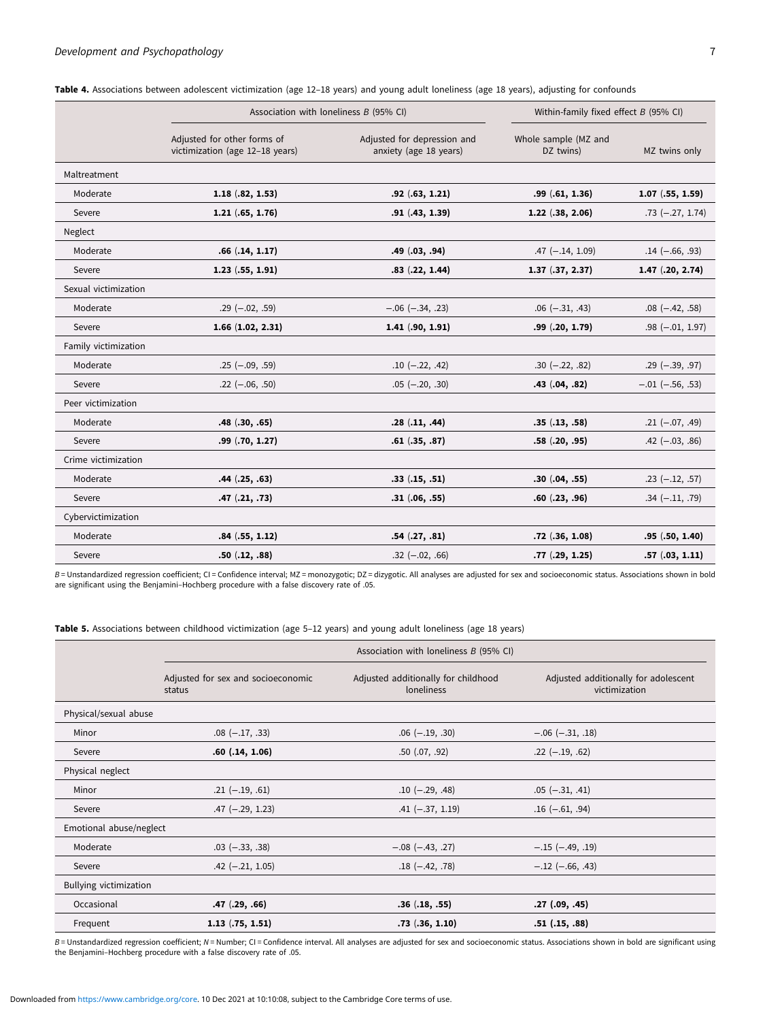|                      | Association with loneliness $B$ (95% CI)                       | Within-family fixed effect $B$ (95% CI)               |                                   |                        |
|----------------------|----------------------------------------------------------------|-------------------------------------------------------|-----------------------------------|------------------------|
|                      | Adjusted for other forms of<br>victimization (age 12-18 years) | Adjusted for depression and<br>anxiety (age 18 years) | Whole sample (MZ and<br>DZ twins) | MZ twins only          |
| Maltreatment         |                                                                |                                                       |                                   |                        |
| Moderate             | $1.18$ $(.82, 1.53)$                                           | .92(.63, 1.21)                                        | .99(.61, 1.36)                    | $1.07$ $(.55, 1.59)$   |
| Severe               | $1.21$ $(.65, 1.76)$                                           | .91(.43, 1.39)                                        | $1.22$ $(.38, 2.06)$              | $.73$ ( $-.27, 1.74$ ) |
| Neglect              |                                                                |                                                       |                                   |                        |
| Moderate             | .66(.14, 1.17)                                                 | .49 (.03, .94)                                        | $.47$ (-.14, 1.09)                | $.14 (-.66, .93)$      |
| Severe               | $1.23$ $(.55, 1.91)$                                           | $.83$ $(.22, 1.44)$                                   | $1.37$ $(.37, 2.37)$              | $1.47$ $(.20, 2.74)$   |
| Sexual victimization |                                                                |                                                       |                                   |                        |
| Moderate             | $.29$ ( $-.02, .59$ )                                          | $-.06 (-.34, .23)$                                    | $.06$ ( $-.31, .43$ )             | $.08$ ( $-.42, .58$ )  |
| Severe               | $1.66$ $(1.02, 2.31)$                                          | $1.41$ $(.90, 1.91)$                                  | .99(.20, 1.79)                    | $.98$ ( $-.01, 1.97$ ) |
| Family victimization |                                                                |                                                       |                                   |                        |
| Moderate             | $.25$ (-.09, .59)                                              | $.10$ (-.22, .42)                                     | $.30 (-.22, .82)$                 | $.29$ (-.39, .97)      |
| Severe               | $.22$ ( $-.06, .50$ )                                          | $.05$ (-.20, .30)                                     | $.43$ $(.04, .82)$                | $-.01 (-.56, .53)$     |
| Peer victimization   |                                                                |                                                       |                                   |                        |
| Moderate             | $.48$ $(.30, .65)$                                             | .28(.11, .44)                                         | .35(.13,.58)                      | $.21 (-.07, .49)$      |
| Severe               | $.99$ $(.70, 1.27)$                                            | .61(.35,.87)                                          | .58(.20, .95)                     | $.42$ ( $-.03, .86$ )  |
| Crime victimization  |                                                                |                                                       |                                   |                        |
| Moderate             | $.44$ $(.25, .63)$                                             | .33(.15,.51)                                          | .30(.04,.55)                      | $.23$ (-.12, .57)      |
| Severe               | .47(.21,.73)                                                   | .31(.06, .55)                                         | .60(.23, .96)                     | $.34 (-.11, .79)$      |
| Cybervictimization   |                                                                |                                                       |                                   |                        |
| Moderate             | .84(.55, 1.12)                                                 | .54(.27,.81)                                          | $.72$ $(.36, 1.08)$               | .95(.50, 1.40)         |
| Severe               | .50(.12, .88)                                                  | $.32$ ( $-.02, .66$ )                                 | .77(.29, 1.25)                    | .57(.03, 1.11)         |

<span id="page-6-0"></span>

| Table 4. Associations between adolescent victimization (age 12-18 years) and young adult loneliness (age 18 years), adjusting for confounds |  |  |  |  |  |
|---------------------------------------------------------------------------------------------------------------------------------------------|--|--|--|--|--|
|---------------------------------------------------------------------------------------------------------------------------------------------|--|--|--|--|--|

B = Unstandardized regression coefficient; CI = Confidence interval; MZ = monozygotic; DZ = dizygotic. All analyses are adjusted for sex and socioeconomic status. Associations shown in bold are significant using the Benjamini–Hochberg procedure with a false discovery rate of .05.

Table 5. Associations between childhood victimization (age 5–12 years) and young adult loneliness (age 18 years)

|                         | Association with loneliness B (95% CI)       |                                                   |                                                       |  |  |
|-------------------------|----------------------------------------------|---------------------------------------------------|-------------------------------------------------------|--|--|
|                         | Adjusted for sex and socioeconomic<br>status | Adjusted additionally for childhood<br>loneliness | Adjusted additionally for adolescent<br>victimization |  |  |
| Physical/sexual abuse   |                                              |                                                   |                                                       |  |  |
| Minor                   | $.08$ ( $-.17, .33$ )                        | $.06$ ( $-.19, .30$ )                             | $-.06 (-.31, .18)$                                    |  |  |
| Severe                  | $.60$ $(.14, 1.06)$                          | $.50$ $(.07, .92)$                                | $.22$ (-.19, .62)                                     |  |  |
| Physical neglect        |                                              |                                                   |                                                       |  |  |
| Minor                   | $.21 (-.19, .61)$                            | $.10$ (-.29, .48)                                 | $.05$ $(-.31, .41)$                                   |  |  |
| Severe                  | $.47$ (-.29, 1.23)                           | $.41 (-.37, 1.19)$                                | $.16(-.61, .94)$                                      |  |  |
| Emotional abuse/neglect |                                              |                                                   |                                                       |  |  |
| Moderate                | $.03$ ( $-.33, .38$ )                        | $-.08 (-.43, .27)$                                | $-.15 (-.49, .19)$                                    |  |  |
| Severe                  | $.42$ (-.21, 1.05)                           | $.18(-.42, .78)$                                  | $-.12$ ( $-.66, .43$ )                                |  |  |
| Bullying victimization  |                                              |                                                   |                                                       |  |  |
| Occasional              | .47(.29,.66)                                 | .36(.18, .55)                                     | $.27$ $(.09, .45)$                                    |  |  |
| Frequent                | $1.13$ $(.75, 1.51)$                         | $.73$ $(.36, 1.10)$                               | $.51$ $(.15, .88)$                                    |  |  |

B = Unstandardized regression coefficient; N = Number; CI = Confidence interval. All analyses are adjusted for sex and socioeconomic status. Associations shown in bold are significant using the Benjamini–Hochberg procedure with a false discovery rate of .05.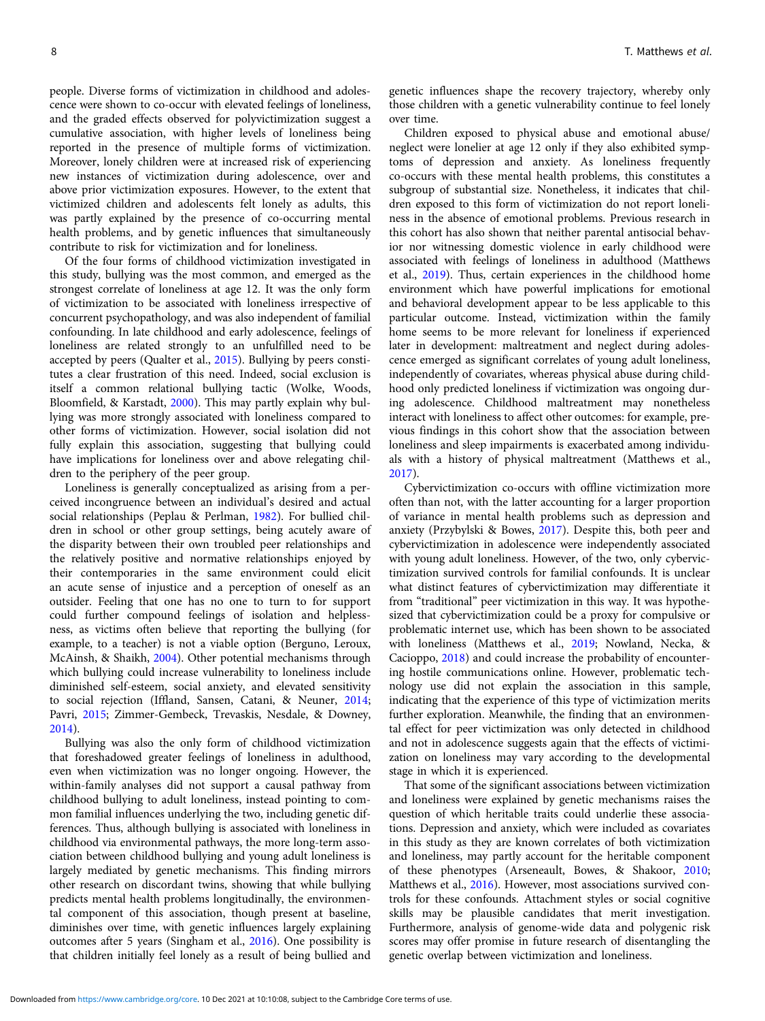people. Diverse forms of victimization in childhood and adolescence were shown to co-occur with elevated feelings of loneliness, and the graded effects observed for polyvictimization suggest a cumulative association, with higher levels of loneliness being reported in the presence of multiple forms of victimization. Moreover, lonely children were at increased risk of experiencing new instances of victimization during adolescence, over and above prior victimization exposures. However, to the extent that victimized children and adolescents felt lonely as adults, this was partly explained by the presence of co-occurring mental health problems, and by genetic influences that simultaneously contribute to risk for victimization and for loneliness.

Of the four forms of childhood victimization investigated in this study, bullying was the most common, and emerged as the strongest correlate of loneliness at age 12. It was the only form of victimization to be associated with loneliness irrespective of concurrent psychopathology, and was also independent of familial confounding. In late childhood and early adolescence, feelings of loneliness are related strongly to an unfulfilled need to be accepted by peers (Qualter et al., [2015\)](#page-10-0). Bullying by peers constitutes a clear frustration of this need. Indeed, social exclusion is itself a common relational bullying tactic (Wolke, Woods, Bloomfield, & Karstadt, [2000\)](#page-10-0). This may partly explain why bullying was more strongly associated with loneliness compared to other forms of victimization. However, social isolation did not fully explain this association, suggesting that bullying could have implications for loneliness over and above relegating children to the periphery of the peer group.

Loneliness is generally conceptualized as arising from a perceived incongruence between an individual's desired and actual social relationships (Peplau & Perlman, [1982\)](#page-9-0). For bullied children in school or other group settings, being acutely aware of the disparity between their own troubled peer relationships and the relatively positive and normative relationships enjoyed by their contemporaries in the same environment could elicit an acute sense of injustice and a perception of oneself as an outsider. Feeling that one has no one to turn to for support could further compound feelings of isolation and helplessness, as victims often believe that reporting the bullying (for example, to a teacher) is not a viable option (Berguno, Leroux, McAinsh, & Shaikh, [2004](#page-9-0)). Other potential mechanisms through which bullying could increase vulnerability to loneliness include diminished self-esteem, social anxiety, and elevated sensitivity to social rejection (Iffland, Sansen, Catani, & Neuner, [2014;](#page-9-0) Pavri, [2015](#page-9-0); Zimmer-Gembeck, Trevaskis, Nesdale, & Downey, [2014\)](#page-10-0).

Bullying was also the only form of childhood victimization that foreshadowed greater feelings of loneliness in adulthood, even when victimization was no longer ongoing. However, the within-family analyses did not support a causal pathway from childhood bullying to adult loneliness, instead pointing to common familial influences underlying the two, including genetic differences. Thus, although bullying is associated with loneliness in childhood via environmental pathways, the more long-term association between childhood bullying and young adult loneliness is largely mediated by genetic mechanisms. This finding mirrors other research on discordant twins, showing that while bullying predicts mental health problems longitudinally, the environmental component of this association, though present at baseline, diminishes over time, with genetic influences largely explaining outcomes after 5 years (Singham et al., [2016\)](#page-10-0). One possibility is that children initially feel lonely as a result of being bullied and

genetic influences shape the recovery trajectory, whereby only those children with a genetic vulnerability continue to feel lonely over time.

Children exposed to physical abuse and emotional abuse/ neglect were lonelier at age 12 only if they also exhibited symptoms of depression and anxiety. As loneliness frequently co-occurs with these mental health problems, this constitutes a subgroup of substantial size. Nonetheless, it indicates that children exposed to this form of victimization do not report loneliness in the absence of emotional problems. Previous research in this cohort has also shown that neither parental antisocial behavior nor witnessing domestic violence in early childhood were associated with feelings of loneliness in adulthood (Matthews et al., [2019](#page-9-0)). Thus, certain experiences in the childhood home environment which have powerful implications for emotional and behavioral development appear to be less applicable to this particular outcome. Instead, victimization within the family home seems to be more relevant for loneliness if experienced later in development: maltreatment and neglect during adolescence emerged as significant correlates of young adult loneliness, independently of covariates, whereas physical abuse during childhood only predicted loneliness if victimization was ongoing during adolescence. Childhood maltreatment may nonetheless interact with loneliness to affect other outcomes: for example, previous findings in this cohort show that the association between loneliness and sleep impairments is exacerbated among individuals with a history of physical maltreatment (Matthews et al., [2017](#page-9-0)).

Cybervictimization co-occurs with offline victimization more often than not, with the latter accounting for a larger proportion of variance in mental health problems such as depression and anxiety (Przybylski & Bowes, [2017\)](#page-10-0). Despite this, both peer and cybervictimization in adolescence were independently associated with young adult loneliness. However, of the two, only cybervictimization survived controls for familial confounds. It is unclear what distinct features of cybervictimization may differentiate it from "traditional" peer victimization in this way. It was hypothesized that cybervictimization could be a proxy for compulsive or problematic internet use, which has been shown to be associated with loneliness (Matthews et al., [2019;](#page-9-0) Nowland, Necka, & Cacioppo, [2018](#page-9-0)) and could increase the probability of encountering hostile communications online. However, problematic technology use did not explain the association in this sample, indicating that the experience of this type of victimization merits further exploration. Meanwhile, the finding that an environmental effect for peer victimization was only detected in childhood and not in adolescence suggests again that the effects of victimization on loneliness may vary according to the developmental stage in which it is experienced.

That some of the significant associations between victimization and loneliness were explained by genetic mechanisms raises the question of which heritable traits could underlie these associations. Depression and anxiety, which were included as covariates in this study as they are known correlates of both victimization and loneliness, may partly account for the heritable component of these phenotypes (Arseneault, Bowes, & Shakoor, [2010](#page-8-0); Matthews et al., [2016](#page-9-0)). However, most associations survived controls for these confounds. Attachment styles or social cognitive skills may be plausible candidates that merit investigation. Furthermore, analysis of genome-wide data and polygenic risk scores may offer promise in future research of disentangling the genetic overlap between victimization and loneliness.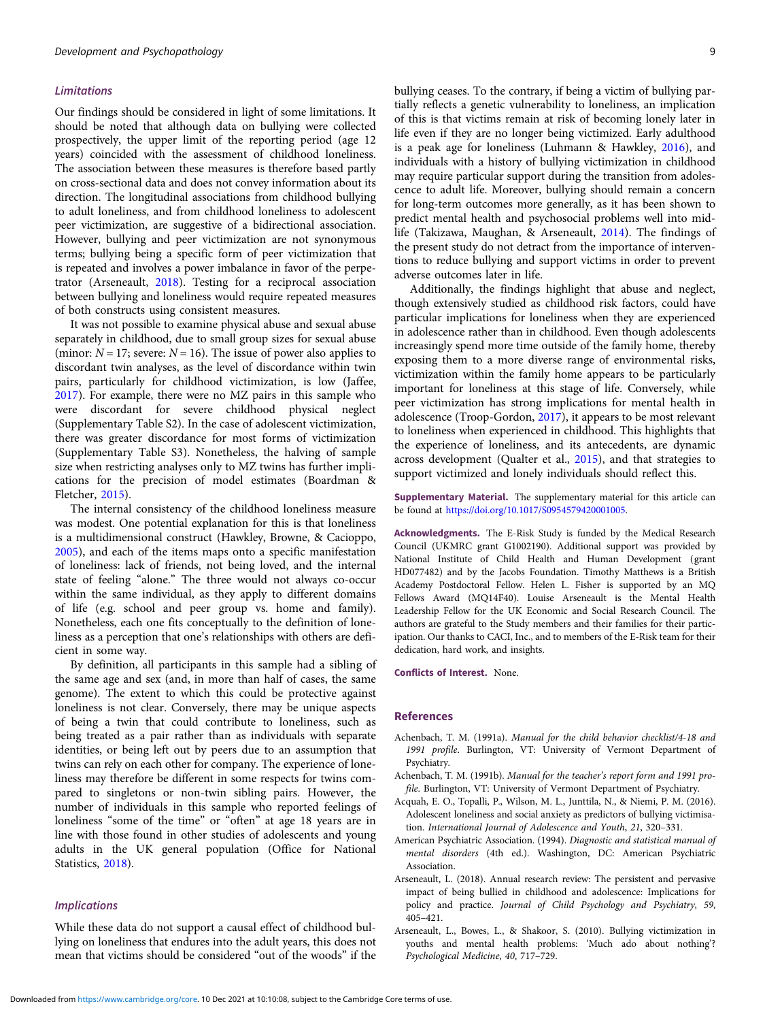#### <span id="page-8-0"></span>Limitations

Our findings should be considered in light of some limitations. It should be noted that although data on bullying were collected prospectively, the upper limit of the reporting period (age 12 years) coincided with the assessment of childhood loneliness. The association between these measures is therefore based partly on cross-sectional data and does not convey information about its direction. The longitudinal associations from childhood bullying to adult loneliness, and from childhood loneliness to adolescent peer victimization, are suggestive of a bidirectional association. However, bullying and peer victimization are not synonymous terms; bullying being a specific form of peer victimization that is repeated and involves a power imbalance in favor of the perpetrator (Arseneault, 2018). Testing for a reciprocal association between bullying and loneliness would require repeated measures of both constructs using consistent measures.

It was not possible to examine physical abuse and sexual abuse separately in childhood, due to small group sizes for sexual abuse (minor:  $N = 17$ ; severe:  $N = 16$ ). The issue of power also applies to discordant twin analyses, as the level of discordance within twin pairs, particularly for childhood victimization, is low (Jaffee, [2017\)](#page-9-0). For example, there were no MZ pairs in this sample who were discordant for severe childhood physical neglect (Supplementary Table S2). In the case of adolescent victimization, there was greater discordance for most forms of victimization (Supplementary Table S3). Nonetheless, the halving of sample size when restricting analyses only to MZ twins has further implications for the precision of model estimates (Boardman & Fletcher, [2015\)](#page-9-0).

The internal consistency of the childhood loneliness measure was modest. One potential explanation for this is that loneliness is a multidimensional construct (Hawkley, Browne, & Cacioppo, [2005\)](#page-9-0), and each of the items maps onto a specific manifestation of loneliness: lack of friends, not being loved, and the internal state of feeling "alone." The three would not always co-occur within the same individual, as they apply to different domains of life (e.g. school and peer group vs. home and family). Nonetheless, each one fits conceptually to the definition of loneliness as a perception that one's relationships with others are deficient in some way.

By definition, all participants in this sample had a sibling of the same age and sex (and, in more than half of cases, the same genome). The extent to which this could be protective against loneliness is not clear. Conversely, there may be unique aspects of being a twin that could contribute to loneliness, such as being treated as a pair rather than as individuals with separate identities, or being left out by peers due to an assumption that twins can rely on each other for company. The experience of loneliness may therefore be different in some respects for twins compared to singletons or non-twin sibling pairs. However, the number of individuals in this sample who reported feelings of loneliness "some of the time" or "often" at age 18 years are in line with those found in other studies of adolescents and young adults in the UK general population (Office for National Statistics, [2018\)](#page-9-0).

## Implications

While these data do not support a causal effect of childhood bullying on loneliness that endures into the adult years, this does not mean that victims should be considered "out of the woods" if the

bullying ceases. To the contrary, if being a victim of bullying partially reflects a genetic vulnerability to loneliness, an implication of this is that victims remain at risk of becoming lonely later in life even if they are no longer being victimized. Early adulthood is a peak age for loneliness (Luhmann & Hawkley, [2016\)](#page-9-0), and individuals with a history of bullying victimization in childhood may require particular support during the transition from adolescence to adult life. Moreover, bullying should remain a concern for long-term outcomes more generally, as it has been shown to predict mental health and psychosocial problems well into midlife (Takizawa, Maughan, & Arseneault, [2014\)](#page-10-0). The findings of the present study do not detract from the importance of interventions to reduce bullying and support victims in order to prevent adverse outcomes later in life.

Additionally, the findings highlight that abuse and neglect, though extensively studied as childhood risk factors, could have particular implications for loneliness when they are experienced in adolescence rather than in childhood. Even though adolescents increasingly spend more time outside of the family home, thereby exposing them to a more diverse range of environmental risks, victimization within the family home appears to be particularly important for loneliness at this stage of life. Conversely, while peer victimization has strong implications for mental health in adolescence (Troop-Gordon, [2017\)](#page-10-0), it appears to be most relevant to loneliness when experienced in childhood. This highlights that the experience of loneliness, and its antecedents, are dynamic across development (Qualter et al., [2015](#page-10-0)), and that strategies to support victimized and lonely individuals should reflect this.

Supplementary Material. The supplementary material for this article can be found at [https://doi.org/10.1017/S0954579420001005.](https://doi.org/10.1017/S0954579420001005)

Acknowledgments. The E-Risk Study is funded by the Medical Research Council (UKMRC grant G1002190). Additional support was provided by National Institute of Child Health and Human Development (grant HD077482) and by the Jacobs Foundation. Timothy Matthews is a British Academy Postdoctoral Fellow. Helen L. Fisher is supported by an MQ Fellows Award (MQ14F40). Louise Arseneault is the Mental Health Leadership Fellow for the UK Economic and Social Research Council. The authors are grateful to the Study members and their families for their participation. Our thanks to CACI, Inc., and to members of the E-Risk team for their dedication, hard work, and insights.

Conflicts of Interest. None.

#### References

- Achenbach, T. M. (1991a). Manual for the child behavior checklist/4-18 and 1991 profile. Burlington, VT: University of Vermont Department of Psychiatry.
- Achenbach, T. M. (1991b). Manual for the teacher's report form and 1991 profile. Burlington, VT: University of Vermont Department of Psychiatry.
- Acquah, E. O., Topalli, P., Wilson, M. L., Junttila, N., & Niemi, P. M. (2016). Adolescent loneliness and social anxiety as predictors of bullying victimisation. International Journal of Adolescence and Youth, 21, 320–331.
- American Psychiatric Association. (1994). Diagnostic and statistical manual of mental disorders (4th ed.). Washington, DC: American Psychiatric Association.
- Arseneault, L. (2018). Annual research review: The persistent and pervasive impact of being bullied in childhood and adolescence: Implications for policy and practice. Journal of Child Psychology and Psychiatry, 59, 405–421.
- Arseneault, L., Bowes, L., & Shakoor, S. (2010). Bullying victimization in youths and mental health problems: 'Much ado about nothing'? Psychological Medicine, 40, 717–729.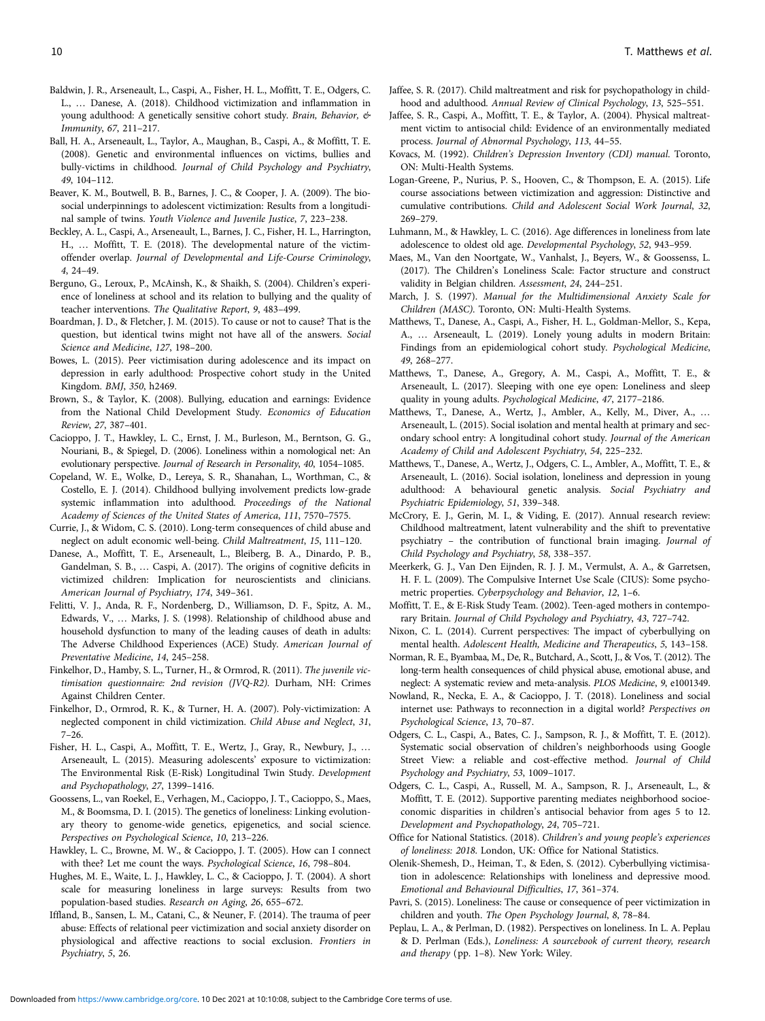- <span id="page-9-0"></span>Baldwin, J. R., Arseneault, L., Caspi, A., Fisher, H. L., Moffitt, T. E., Odgers, C. L., … Danese, A. (2018). Childhood victimization and inflammation in young adulthood: A genetically sensitive cohort study. Brain, Behavior, & Immunity, 67, 211–217.
- Ball, H. A., Arseneault, L., Taylor, A., Maughan, B., Caspi, A., & Moffitt, T. E. (2008). Genetic and environmental influences on victims, bullies and bully-victims in childhood. Journal of Child Psychology and Psychiatry, 49, 104–112.
- Beaver, K. M., Boutwell, B. B., Barnes, J. C., & Cooper, J. A. (2009). The biosocial underpinnings to adolescent victimization: Results from a longitudinal sample of twins. Youth Violence and Juvenile Justice, 7, 223–238.
- Beckley, A. L., Caspi, A., Arseneault, L., Barnes, J. C., Fisher, H. L., Harrington, H., … Moffitt, T. E. (2018). The developmental nature of the victimoffender overlap. Journal of Developmental and Life-Course Criminology, 4, 24–49.
- Berguno, G., Leroux, P., McAinsh, K., & Shaikh, S. (2004). Children's experience of loneliness at school and its relation to bullying and the quality of teacher interventions. The Qualitative Report, 9, 483–499.
- Boardman, J. D., & Fletcher, J. M. (2015). To cause or not to cause? That is the question, but identical twins might not have all of the answers. Social Science and Medicine, 127, 198–200.
- Bowes, L. (2015). Peer victimisation during adolescence and its impact on depression in early adulthood: Prospective cohort study in the United Kingdom. BMJ, 350, h2469.
- Brown, S., & Taylor, K. (2008). Bullying, education and earnings: Evidence from the National Child Development Study. Economics of Education Review, 27, 387–401.
- Cacioppo, J. T., Hawkley, L. C., Ernst, J. M., Burleson, M., Berntson, G. G., Nouriani, B., & Spiegel, D. (2006). Loneliness within a nomological net: An evolutionary perspective. Journal of Research in Personality, 40, 1054–1085.
- Copeland, W. E., Wolke, D., Lereya, S. R., Shanahan, L., Worthman, C., & Costello, E. J. (2014). Childhood bullying involvement predicts low-grade systemic inflammation into adulthood. Proceedings of the National Academy of Sciences of the United States of America, 111, 7570–7575.

Currie, J., & Widom, C. S. (2010). Long-term consequences of child abuse and neglect on adult economic well-being. Child Maltreatment, 15, 111–120.

- Danese, A., Moffitt, T. E., Arseneault, L., Bleiberg, B. A., Dinardo, P. B., Gandelman, S. B., … Caspi, A. (2017). The origins of cognitive deficits in victimized children: Implication for neuroscientists and clinicians. American Journal of Psychiatry, 174, 349–361.
- Felitti, V. J., Anda, R. F., Nordenberg, D., Williamson, D. F., Spitz, A. M., Edwards, V., … Marks, J. S. (1998). Relationship of childhood abuse and household dysfunction to many of the leading causes of death in adults: The Adverse Childhood Experiences (ACE) Study. American Journal of Preventative Medicine, 14, 245–258.
- Finkelhor, D., Hamby, S. L., Turner, H., & Ormrod, R. (2011). The juvenile victimisation questionnaire: 2nd revision (JVQ-R2). Durham, NH: Crimes Against Children Center.
- Finkelhor, D., Ormrod, R. K., & Turner, H. A. (2007). Poly-victimization: A neglected component in child victimization. Child Abuse and Neglect, 31, 7–26.
- Fisher, H. L., Caspi, A., Moffitt, T. E., Wertz, J., Gray, R., Newbury, J., … Arseneault, L. (2015). Measuring adolescents' exposure to victimization: The Environmental Risk (E-Risk) Longitudinal Twin Study. Development and Psychopathology, 27, 1399–1416.
- Goossens, L., van Roekel, E., Verhagen, M., Cacioppo, J. T., Cacioppo, S., Maes, M., & Boomsma, D. I. (2015). The genetics of loneliness: Linking evolutionary theory to genome-wide genetics, epigenetics, and social science. Perspectives on Psychological Science, 10, 213–226.
- Hawkley, L. C., Browne, M. W., & Cacioppo, J. T. (2005). How can I connect with thee? Let me count the ways. Psychological Science, 16, 798–804.
- Hughes, M. E., Waite, L. J., Hawkley, L. C., & Cacioppo, J. T. (2004). A short scale for measuring loneliness in large surveys: Results from two population-based studies. Research on Aging, 26, 655–672.
- Iffland, B., Sansen, L. M., Catani, C., & Neuner, F. (2014). The trauma of peer abuse: Effects of relational peer victimization and social anxiety disorder on physiological and affective reactions to social exclusion. Frontiers in Psychiatry, 5, 26.
- Jaffee, S. R. (2017). Child maltreatment and risk for psychopathology in childhood and adulthood. Annual Review of Clinical Psychology, 13, 525–551.
- Jaffee, S. R., Caspi, A., Moffitt, T. E., & Taylor, A. (2004). Physical maltreatment victim to antisocial child: Evidence of an environmentally mediated process. Journal of Abnormal Psychology, 113, 44–55.
- Kovacs, M. (1992). Children's Depression Inventory (CDI) manual. Toronto, ON: Multi-Health Systems.
- Logan-Greene, P., Nurius, P. S., Hooven, C., & Thompson, E. A. (2015). Life course associations between victimization and aggression: Distinctive and cumulative contributions. Child and Adolescent Social Work Journal, 32, 269–279.
- Luhmann, M., & Hawkley, L. C. (2016). Age differences in loneliness from late adolescence to oldest old age. Developmental Psychology, 52, 943–959.
- Maes, M., Van den Noortgate, W., Vanhalst, J., Beyers, W., & Goossenss, L. (2017). The Children's Loneliness Scale: Factor structure and construct validity in Belgian children. Assessment, 24, 244–251.
- March, J. S. (1997). Manual for the Multidimensional Anxiety Scale for Children (MASC). Toronto, ON: Multi-Health Systems.
- Matthews, T., Danese, A., Caspi, A., Fisher, H. L., Goldman-Mellor, S., Kepa, A., … Arseneault, L. (2019). Lonely young adults in modern Britain: Findings from an epidemiological cohort study. Psychological Medicine, 49, 268–277.
- Matthews, T., Danese, A., Gregory, A. M., Caspi, A., Moffitt, T. E., & Arseneault, L. (2017). Sleeping with one eye open: Loneliness and sleep quality in young adults. Psychological Medicine, 47, 2177–2186.
- Matthews, T., Danese, A., Wertz, J., Ambler, A., Kelly, M., Diver, A., … Arseneault, L. (2015). Social isolation and mental health at primary and secondary school entry: A longitudinal cohort study. Journal of the American Academy of Child and Adolescent Psychiatry, 54, 225–232.
- Matthews, T., Danese, A., Wertz, J., Odgers, C. L., Ambler, A., Moffitt, T. E., & Arseneault, L. (2016). Social isolation, loneliness and depression in young adulthood: A behavioural genetic analysis. Social Psychiatry and Psychiatric Epidemiology, 51, 339–348.
- McCrory, E. J., Gerin, M. I., & Viding, E. (2017). Annual research review: Childhood maltreatment, latent vulnerability and the shift to preventative psychiatry – the contribution of functional brain imaging. Journal of Child Psychology and Psychiatry, 58, 338–357.
- Meerkerk, G. J., Van Den Eijnden, R. J. J. M., Vermulst, A. A., & Garretsen, H. F. L. (2009). The Compulsive Internet Use Scale (CIUS): Some psychometric properties. Cyberpsychology and Behavior, 12, 1–6.
- Moffitt, T. E., & E-Risk Study Team. (2002). Teen-aged mothers in contemporary Britain. Journal of Child Psychology and Psychiatry, 43, 727–742.
- Nixon, C. L. (2014). Current perspectives: The impact of cyberbullying on mental health. Adolescent Health, Medicine and Therapeutics, 5, 143–158.
- Norman, R. E., Byambaa, M., De, R., Butchard, A., Scott, J., & Vos, T. (2012). The long-term health consequences of child physical abuse, emotional abuse, and neglect: A systematic review and meta-analysis. PLOS Medicine, 9, e1001349.
- Nowland, R., Necka, E. A., & Cacioppo, J. T. (2018). Loneliness and social internet use: Pathways to reconnection in a digital world? Perspectives on Psychological Science, 13, 70–87.
- Odgers, C. L., Caspi, A., Bates, C. J., Sampson, R. J., & Moffitt, T. E. (2012). Systematic social observation of children's neighborhoods using Google Street View: a reliable and cost-effective method. Journal of Child Psychology and Psychiatry, 53, 1009–1017.
- Odgers, C. L., Caspi, A., Russell, M. A., Sampson, R. J., Arseneault, L., & Moffitt, T. E. (2012). Supportive parenting mediates neighborhood socioeconomic disparities in children's antisocial behavior from ages 5 to 12. Development and Psychopathology, 24, 705–721.
- Office for National Statistics. (2018). Children's and young people's experiences of loneliness: 2018. London, UK: Office for National Statistics.
- Olenik-Shemesh, D., Heiman, T., & Eden, S. (2012). Cyberbullying victimisation in adolescence: Relationships with loneliness and depressive mood. Emotional and Behavioural Difficulties, 17, 361–374.
- Pavri, S. (2015). Loneliness: The cause or consequence of peer victimization in children and youth. The Open Psychology Journal, 8, 78–84.
- Peplau, L. A., & Perlman, D. (1982). Perspectives on loneliness. In L. A. Peplau & D. Perlman (Eds.), Loneliness: A sourcebook of current theory, research and therapy (pp. 1–8). New York: Wiley.